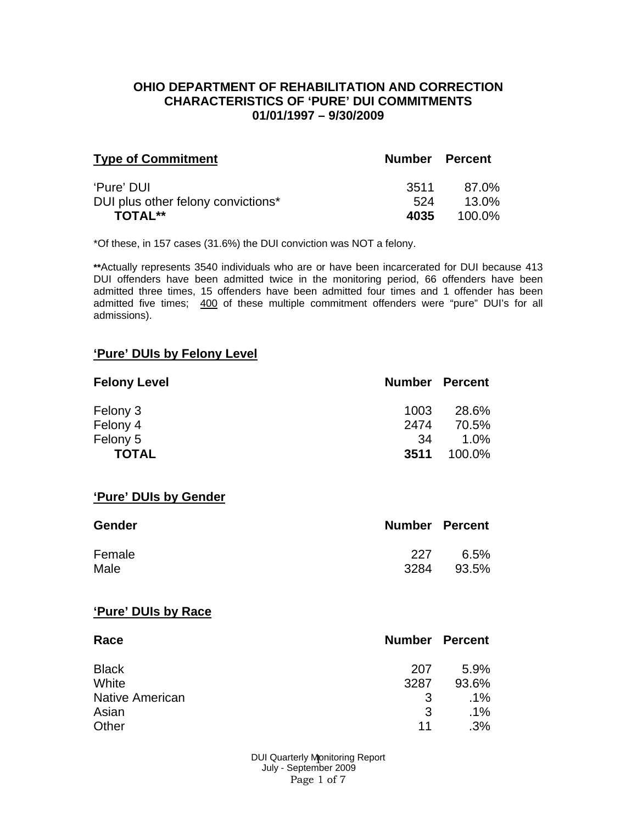#### **OHIO DEPARTMENT OF REHABILITATION AND CORRECTION CHARACTERISTICS OF 'PURE' DUI COMMITMENTS 01/01/1997 – 9/30/2009**

| <b>Type of Commitment</b>          | <b>Number Percent</b> |        |
|------------------------------------|-----------------------|--------|
| 'Pure' DUI                         | 3511.                 | 87.0%  |
| DUI plus other felony convictions* | 524                   | 13.0%  |
| <b>TOTAL**</b>                     | 4035                  | 100.0% |

\*Of these, in 157 cases (31.6%) the DUI conviction was NOT a felony.

**\*\***Actually represents 3540 individuals who are or have been incarcerated for DUI because 413 DUI offenders have been admitted twice in the monitoring period, 66 offenders have been admitted three times, 15 offenders have been admitted four times and 1 offender has been admitted five times; 400 of these multiple commitment offenders were "pure" DUI's for all admissions).

#### **'Pure' DUIs by Felony Level**

| <b>Felony Level</b> | <b>Number Percent</b> |         |
|---------------------|-----------------------|---------|
| Felony 3            | 1003                  | 28.6%   |
| Felony 4            | 2474                  | 70.5%   |
| Felony 5            | -34                   | $1.0\%$ |
| <b>TOTAL</b>        | 3511                  | 100.0%  |

#### **'Pure' DUIs by Gender**

| <b>Gender</b> | <b>Number Percent</b> |       |
|---------------|-----------------------|-------|
| Female        | 227                   | 6.5%  |
| Male          | 3284                  | 93.5% |

#### **'Pure' DUIs by Race**

| Race                   | <b>Number Percent</b> |        |
|------------------------|-----------------------|--------|
| <b>Black</b>           | 207                   | 5.9%   |
| White                  | 3287                  | 93.6%  |
| <b>Native American</b> | -3                    | .1%    |
| Asian                  | 3                     | $.1\%$ |
| Other                  | 11                    | .3%    |

DUI Quarterly Monitoring Report July - September 2009 Page 1 of 7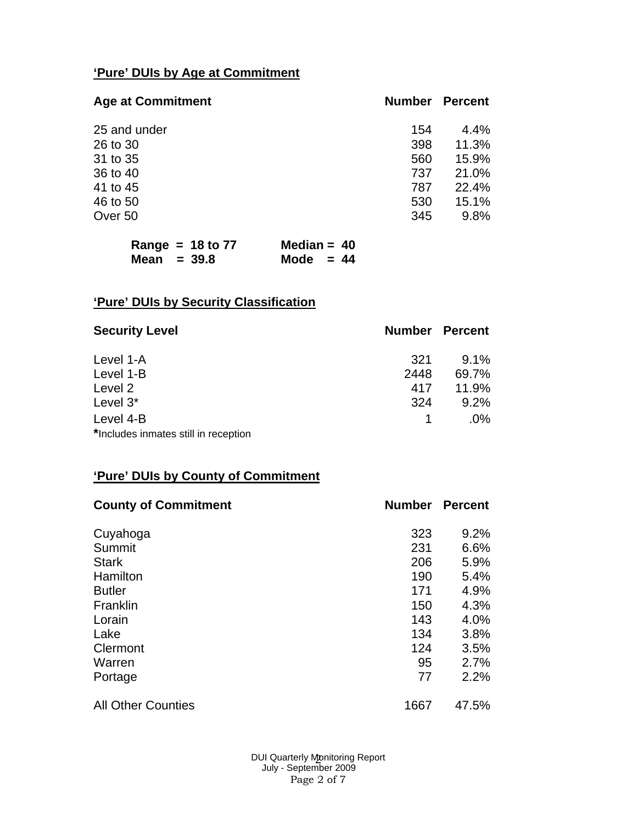## **'Pure' DUIs by Age at Commitment**

| <b>Age at Commitment</b> | Number | <b>Percent</b> |
|--------------------------|--------|----------------|
| 25 and under             | 154    | $4.4\%$        |
| 26 to 30                 | 398    | 11.3%          |
| 31 to 35                 | 560    | 15.9%          |
| 36 to 40                 | 737    | 21.0%          |
| 41 to 45                 | 787    | 22.4%          |
| 46 to 50                 | 530    | 15.1%          |
| Over 50                  | 345    | 9.8%           |

| Range = $18$ to 77 | Median = $40$ |
|--------------------|---------------|
| Mean $= 39.8$      | Mode $= 44$   |

# **'Pure' DUIs by Security Classification**

| <b>Security Level</b>                | <b>Number Percent</b> |         |
|--------------------------------------|-----------------------|---------|
| Level 1-A                            | 321                   | $9.1\%$ |
| Level 1-B                            | 2448                  | 69.7%   |
| Level 2                              | 417                   | 11.9%   |
| Level 3*                             | 324                   | 9.2%    |
| Level 4-B                            |                       | $.0\%$  |
| *Includes inmates still in reception |                       |         |

## **'Pure' DUIs by County of Commitment**

| <b>County of Commitment</b> | <b>Number</b> | <b>Percent</b> |
|-----------------------------|---------------|----------------|
| Cuyahoga                    | 323           | 9.2%           |
| Summit                      | 231           | 6.6%           |
| <b>Stark</b>                | 206           | 5.9%           |
| Hamilton                    | 190           | 5.4%           |
| <b>Butler</b>               | 171           | 4.9%           |
| Franklin                    | 150           | 4.3%           |
| Lorain                      | 143           | 4.0%           |
| Lake                        | 134           | 3.8%           |
| Clermont                    | 124           | 3.5%           |
| Warren                      | 95            | 2.7%           |
| Portage                     | 77            | 2.2%           |
| <b>All Other Counties</b>   | 1667          | 47.5%          |

DUI Quarterly Monitoring Report JI Quarterly Monitoring l<br>July - September 2009 Page 2 of 7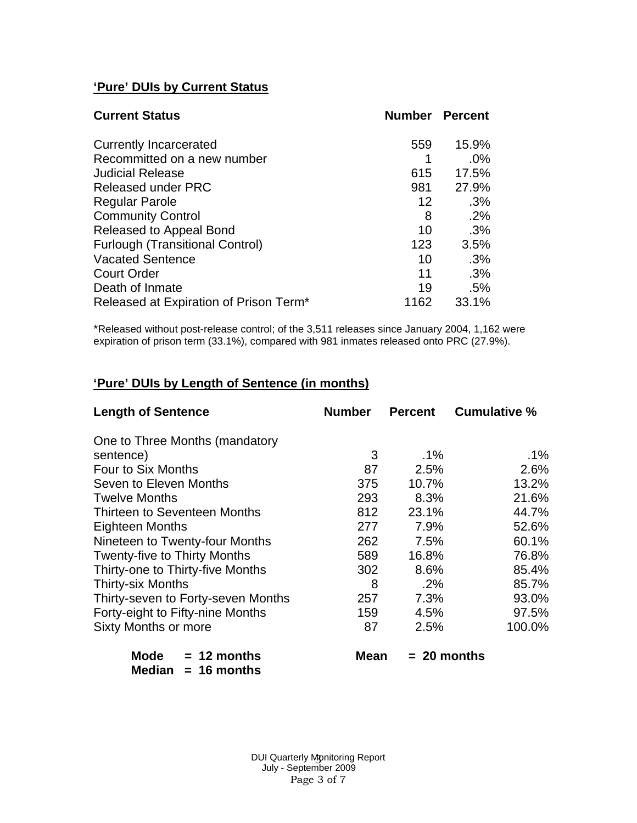## **'Pure' DUIs by Current Status**

| <b>Current Status</b>                  | <b>Number Percent</b> |       |
|----------------------------------------|-----------------------|-------|
| <b>Currently Incarcerated</b>          | 559                   | 15.9% |
| Recommitted on a new number            |                       | .0%   |
| <b>Judicial Release</b>                | 615                   | 17.5% |
| <b>Released under PRC</b>              | 981                   | 27.9% |
| <b>Regular Parole</b>                  | 12                    | .3%   |
| <b>Community Control</b>               | 8                     | .2%   |
| Released to Appeal Bond                | 10                    | .3%   |
| <b>Furlough (Transitional Control)</b> | 123                   | 3.5%  |
| <b>Vacated Sentence</b>                | 10                    | .3%   |
| <b>Court Order</b>                     | 11                    | .3%   |
| Death of Inmate                        | 19                    | .5%   |
| Released at Expiration of Prison Term* | 1162                  | 33.1% |

\*Released without post-release control; of the 3,511 releases since January 2004, 1,162 were expiration of prison term (33.1%), compared with 981 inmates released onto PRC (27.9%).

### **'Pure' DUIs by Length of Sentence (in months)**

| <b>Length of Sentence</b>                        | <b>Number</b> | <b>Percent</b> | <b>Cumulative %</b> |
|--------------------------------------------------|---------------|----------------|---------------------|
| One to Three Months (mandatory                   |               |                |                     |
| sentence)                                        | 3             | $.1\%$         | $.1\%$              |
| Four to Six Months                               | 87            | 2.5%           | 2.6%                |
| Seven to Eleven Months                           | 375           | 10.7%          | 13.2%               |
| <b>Twelve Months</b>                             | 293           | 8.3%           | 21.6%               |
| Thirteen to Seventeen Months                     | 812           | 23.1%          | 44.7%               |
| Eighteen Months                                  | 277           | 7.9%           | 52.6%               |
| Nineteen to Twenty-four Months                   | 262           | 7.5%           | 60.1%               |
| <b>Twenty-five to Thirty Months</b>              | 589           | 16.8%          | 76.8%               |
| Thirty-one to Thirty-five Months                 | 302           | 8.6%           | 85.4%               |
| <b>Thirty-six Months</b>                         | 8             | $.2\%$         | 85.7%               |
| Thirty-seven to Forty-seven Months               | 257           | 7.3%           | 93.0%               |
| Forty-eight to Fifty-nine Months                 | 159           | 4.5%           | 97.5%               |
| <b>Sixty Months or more</b>                      | 87            | 2.5%           | 100.0%              |
| Mode<br>$= 12$ months<br>Median<br>$= 16$ months | Mean          | $= 20$ months  |                     |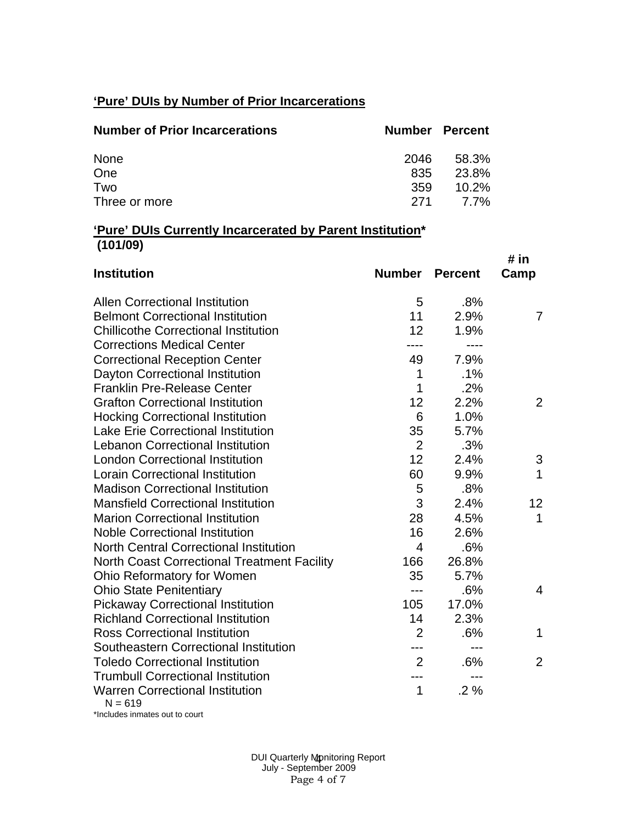## **'Pure' DUIs by Number of Prior Incarcerations**

| <b>Number of Prior Incarcerations</b> | <b>Number Percent</b> |          |
|---------------------------------------|-----------------------|----------|
| None                                  | 2046                  | 58.3%    |
| One                                   | 835                   | -23.8%   |
| Two                                   | 359                   | $10.2\%$ |
| Three or more                         | -271                  | 7.7%     |

#### **'Pure' DUIs Currently Incarcerated by Parent Institution\* (101/09)**

| <b>Institution</b>                                  | Number         | <b>Percent</b> | # in<br>Camp    |
|-----------------------------------------------------|----------------|----------------|-----------------|
| <b>Allen Correctional Institution</b>               | 5              | .8%            |                 |
| <b>Belmont Correctional Institution</b>             | 11             | 2.9%           | $\overline{7}$  |
| <b>Chillicothe Correctional Institution</b>         | 12             | 1.9%           |                 |
| <b>Corrections Medical Center</b>                   | ----           | ----           |                 |
| <b>Correctional Reception Center</b>                | 49             | 7.9%           |                 |
| Dayton Correctional Institution                     | 1              | .1%            |                 |
| <b>Franklin Pre-Release Center</b>                  | 1              | .2%            |                 |
| <b>Grafton Correctional Institution</b>             | 12             | 2.2%           | 2               |
| <b>Hocking Correctional Institution</b>             | 6              | 1.0%           |                 |
| <b>Lake Erie Correctional Institution</b>           | 35             | 5.7%           |                 |
| <b>Lebanon Correctional Institution</b>             | $\overline{2}$ | .3%            |                 |
| <b>London Correctional Institution</b>              | 12             | 2.4%           | 3               |
| <b>Lorain Correctional Institution</b>              | 60             | 9.9%           | 1               |
| <b>Madison Correctional Institution</b>             | 5              | .8%            |                 |
| <b>Mansfield Correctional Institution</b>           | 3              | 2.4%           | 12 <sub>2</sub> |
| <b>Marion Correctional Institution</b>              | 28             | 4.5%           | 1               |
| <b>Noble Correctional Institution</b>               | 16             | 2.6%           |                 |
| <b>North Central Correctional Institution</b>       | $\overline{4}$ | .6%            |                 |
| North Coast Correctional Treatment Facility         | 166            | 26.8%          |                 |
| Ohio Reformatory for Women                          | 35             | 5.7%           |                 |
| <b>Ohio State Penitentiary</b>                      | $---$          | .6%            | 4               |
| <b>Pickaway Correctional Institution</b>            | 105            | 17.0%          |                 |
| <b>Richland Correctional Institution</b>            | 14             | 2.3%           |                 |
| <b>Ross Correctional Institution</b>                | 2              | .6%            | 1               |
| Southeastern Correctional Institution               | ---            |                |                 |
| <b>Toledo Correctional Institution</b>              | $\overline{2}$ | .6%            | $\overline{2}$  |
| <b>Trumbull Correctional Institution</b>            | ---            | ---            |                 |
| <b>Warren Correctional Institution</b><br>$N = 619$ | 1              | .2%            |                 |

\*Includes inmates out to court

DUI Quarterly Monitoring Report JI Quarterly Mpnitoring l<br>July - September 2009 Page 4 of 7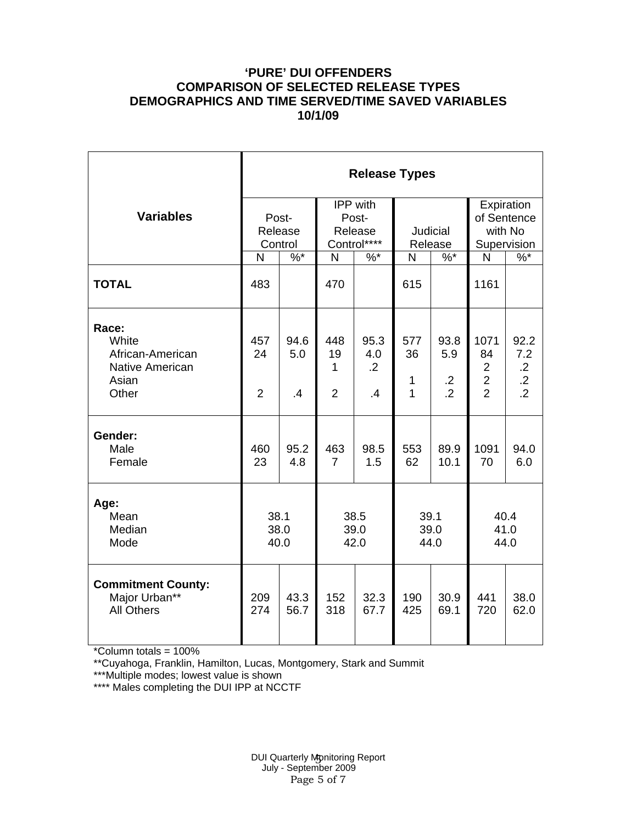#### **'PURE' DUI OFFENDERS COMPARISON OF SELECTED RELEASE TYPES DEMOGRAPHICS AND TIME SERVED/TIME SAVED VARIABLES 10/1/09**

|                                                                                | <b>Release Types</b>        |                             |                                  |                                             |                      |                                             |                                                                  |                                                        |  |  |
|--------------------------------------------------------------------------------|-----------------------------|-----------------------------|----------------------------------|---------------------------------------------|----------------------|---------------------------------------------|------------------------------------------------------------------|--------------------------------------------------------|--|--|
| <b>Variables</b>                                                               |                             | Post-<br>Release<br>Control |                                  | IPP with<br>Post-<br>Release<br>Control**** | Judicial<br>Release  |                                             | Expiration<br>of Sentence<br>with No<br>Supervision              |                                                        |  |  |
|                                                                                | N                           | $\%$ *                      | N                                | $%$ *                                       | $\mathsf{N}$         | $\%$ *                                      | $\mathsf{N}$                                                     | $\%$                                                   |  |  |
| <b>TOTAL</b>                                                                   | 483                         |                             | 470                              |                                             | 615                  |                                             | 1161                                                             |                                                        |  |  |
| Race:<br>White<br>African-American<br><b>Native American</b><br>Asian<br>Other | 457<br>24<br>$\overline{2}$ | 94.6<br>5.0<br>.4           | 448<br>19<br>1<br>$\overline{2}$ | 95.3<br>4.0<br>$\overline{.2}$<br>.4        | 577<br>36<br>1<br>1  | 93.8<br>5.9<br>$\cdot$ .2<br>$\overline{2}$ | 1071<br>84<br>$\overline{2}$<br>$\overline{2}$<br>$\overline{2}$ | 92.2<br>7.2<br>$\cdot$ .2<br>$\cdot$<br>$\overline{2}$ |  |  |
| Gender:<br>Male<br>Female                                                      | 460<br>23                   | 95.2<br>4.8                 | 463<br>$\overline{7}$            | 98.5<br>1.5                                 | 553<br>62            | 89.9<br>10.1                                | 1091<br>70                                                       | 94.0<br>6.0                                            |  |  |
| Age:<br>Mean<br>Median<br>Mode                                                 | 38.1<br>38.0<br>40.0        |                             | 38.5<br>39.0<br>42.0             |                                             | 39.1<br>39.0<br>44.0 |                                             | 40.4<br>41.0<br>44.0                                             |                                                        |  |  |
| <b>Commitment County:</b><br>Major Urban**<br><b>All Others</b>                | 209<br>274                  | 43.3<br>56.7                | 152<br>318                       | 32.3<br>67.7                                | 190<br>425           | 30.9<br>69.1                                | 441<br>720                                                       | 38.0<br>62.0                                           |  |  |

\*Column totals = 100%

\*\*Cuyahoga, Franklin, Hamilton, Lucas, Montgomery, Stark and Summit

\*\*\*Multiple modes; lowest value is shown

\*\*\*\* Males completing the DUI IPP at NCCTF

DUI Quarterly Monitoring Report JI Quarterly Monitoring l<br>July - September 2009 Page 5 of 7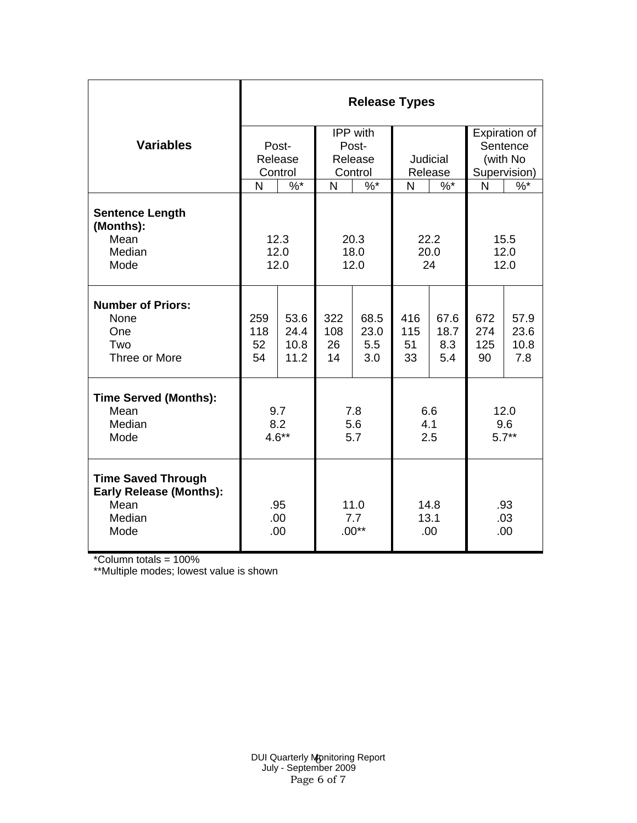|                                                                     | <b>Release Types</b> |       |            |          |            |      |               |      |  |  |
|---------------------------------------------------------------------|----------------------|-------|------------|----------|------------|------|---------------|------|--|--|
|                                                                     |                      |       |            | IPP with |            |      | Expiration of |      |  |  |
| <b>Variables</b>                                                    |                      | Post- |            | Post-    |            |      | Sentence      |      |  |  |
|                                                                     |                      |       |            | Release  | Judicial   |      | (with No      |      |  |  |
|                                                                     | Release<br>Control   |       | Control    |          | Release    |      | Supervision)  |      |  |  |
|                                                                     | N                    | $%$ * | $%$ *<br>N |          | N<br>$%$ * |      | N<br>$%^*$    |      |  |  |
|                                                                     |                      |       |            |          |            |      |               |      |  |  |
| <b>Sentence Length</b><br>(Months):                                 |                      |       |            |          |            |      |               |      |  |  |
| Mean                                                                |                      | 12.3  | 20.3       |          | 22.2       |      | 15.5          |      |  |  |
| Median                                                              | 12.0                 |       | 18.0       |          | 20.0       |      | 12.0          |      |  |  |
| Mode                                                                | 12.0                 |       | 12.0       |          | 24         |      | 12.0          |      |  |  |
|                                                                     |                      |       |            |          |            |      |               |      |  |  |
| <b>Number of Priors:</b>                                            |                      |       |            |          |            |      |               |      |  |  |
| None                                                                | 259                  | 53.6  | 322        | 68.5     | 416        | 67.6 | 672           | 57.9 |  |  |
| One                                                                 | 118                  | 24.4  | 108        | 23.0     | 115        | 18.7 | 274           | 23.6 |  |  |
| Two                                                                 | 52                   | 10.8  | 26         | 5.5      | 51         | 8.3  | 125           | 10.8 |  |  |
| Three or More                                                       | 54                   | 11.2  | 14         | 3.0      | 33         | 5.4  | 90            | 7.8  |  |  |
| <b>Time Served (Months):</b>                                        |                      |       |            |          |            |      |               |      |  |  |
| Mean                                                                | 9.7                  |       | 7.8        |          | 6.6        |      | 12.0          |      |  |  |
| Median                                                              | 8.2                  |       | 5.6        |          | 4.1        |      | 9.6           |      |  |  |
| Mode                                                                | $4.6**$              |       | 5.7        |          | 2.5        |      | $5.7**$       |      |  |  |
|                                                                     |                      |       |            |          |            |      |               |      |  |  |
| <b>Time Saved Through</b><br><b>Early Release (Months):</b><br>Mean | .95                  |       | 11.0       |          | 14.8       |      | .93           |      |  |  |
| Median                                                              |                      | .00   | 7.7        |          | 13.1       |      | .03           |      |  |  |
| Mode                                                                |                      | .00   | $.00**$    |          | .00        |      | .00           |      |  |  |

\*Column totals = 100%

\*\*Multiple modes; lowest value is shown